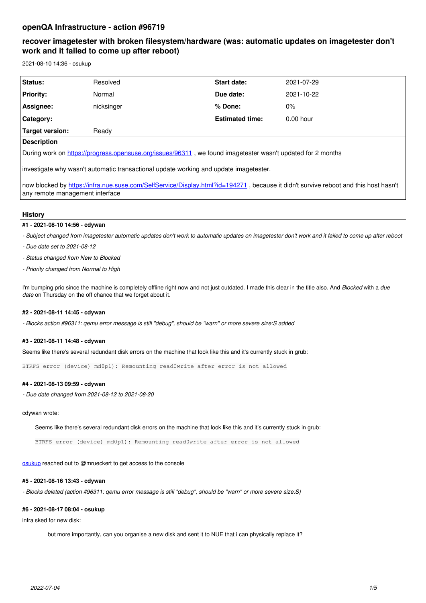# **recover imagetester with broken filesystem/hardware (was: automatic updates on imagetester don't work and it failed to come up after reboot)**

2021-08-10 14:36 - osukup

| Status:                                                                                                                                                                | Resolved   | Start date:            | 2021-07-29  |
|------------------------------------------------------------------------------------------------------------------------------------------------------------------------|------------|------------------------|-------------|
| <b>Priority:</b>                                                                                                                                                       | Normal     | Due date:              | 2021-10-22  |
| Assignee:                                                                                                                                                              | nicksinger | % Done:                | $0\%$       |
| Category:                                                                                                                                                              |            | <b>Estimated time:</b> | $0.00$ hour |
| <b>Target version:</b>                                                                                                                                                 | Ready      |                        |             |
| <b>Description</b>                                                                                                                                                     |            |                        |             |
| During work on https://progress.opensuse.org/issues/96311, we found imagetester wasn't updated for 2 months                                                            |            |                        |             |
| investigate why wasn't automatic transactional update working and update imagetester.                                                                                  |            |                        |             |
| now blocked by https://infra.nue.suse.com/SelfService/Display.html?id=194271, because it didn't survive reboot and this host hasn't<br>any remote management interface |            |                        |             |

## **History**

## **#1 - 2021-08-10 14:56 - cdywan**

*- Subject changed from imagetester automatic updates don't work to automatic updates on imagetester don't work and it failed to come up after reboot*

- *Due date set to 2021-08-12*
- *Status changed from New to Blocked*
- *Priority changed from Normal to High*

I'm bumping prio since the machine is completely offline right now and not just outdated. I made this clear in the title also. And *Blocked* with a *due date* on Thursday on the off chance that we forget about it.

## **#2 - 2021-08-11 14:45 - cdywan**

*- Blocks action #96311: qemu error message is still "debug", should be "warn" or more severe size:S added*

### **#3 - 2021-08-11 14:48 - cdywan**

Seems like there's several redundant disk errors on the machine that look like this and it's currently stuck in grub:

BTRFS error (device) md0p1): Remounting read0write after error is not allowed

## **#4 - 2021-08-13 09:59 - cdywan**

*- Due date changed from 2021-08-12 to 2021-08-20*

cdywan wrote:

Seems like there's several redundant disk errors on the machine that look like this and it's currently stuck in grub:

BTRFS error (device) md0p1): Remounting read0write after error is not allowed

[osukup](progress.opensuse.org/users/21806) reached out to @mrueckert to get access to the console

## **#5 - 2021-08-16 13:43 - cdywan**

*- Blocks deleted (action #96311: qemu error message is still "debug", should be "warn" or more severe size:S)*

### **#6 - 2021-08-17 08:04 - osukup**

infra sked for new disk:

but more importantly, can you organise a new disk and sent it to NUE that i can physically replace it?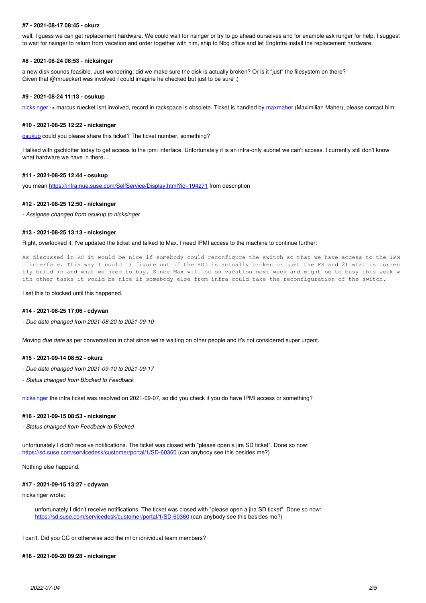### **#7 - 2021-08-17 08:45 - okurz**

well, I guess we can get replacement hardware. We could wait for nsinger or try to go ahead ourselves and for example ask runger for help. I suggest to wait for nsinger to return from vacation and order together with him, ship to Nbg office and let EngInfra install the replacement hardware.

## **#8 - 2021-08-24 08:53 - nicksinger**

a new disk sounds feasible. Just wondering: did we make sure the disk is actually broken? Or is it "just" the filesystem on there? Given that @mrueckert was involved I could imagine he checked but just to be sure :)

#### **#9 - 2021-08-24 11:13 - osukup**

[nicksinger](progress.opensuse.org/users/24624) -> marcus ruecket isnt involved, record in rackspace is obsolete. Ticket is handled by [maxmaher](progress.opensuse.org/users/75) (Maximilian Maher), please contact him

## **#10 - 2021-08-25 12:22 - nicksinger**

[osukup](progress.opensuse.org/users/21806) could you please share this ticket? The ticket number, something?

I talked with gschlotter today to get access to the ipmi interface. Unfortunately it is an infra-only subnet we can't access. I currently still don't know what hardware we have in there

## **#11 - 2021-08-25 12:44 - osukup**

you mean <https://infra.nue.suse.com/SelfService/Display.html?id=194271>from description

#### **#12 - 2021-08-25 12:50 - nicksinger**

*- Assignee changed from osukup to nicksinger*

### **#13 - 2021-08-25 13:13 - nicksinger**

Right, overlooked it. I've updated the ticket and talked to Max. I need IPMI access to the machine to continue further:

As discussed in RC it would be nice if somebody could reconfigure the switch so that we have access to the IPM I interface. This way I could 1) figure out if the HDD is actually broken or just the FS and 2) what is curren tly build in and what we need to buy. Since Max will be on vacation next week and might be to busy this week w ith other tasks it would be nice if somebody else from infra could take the reconfiguration of the switch.

## I set this to blocked until this happened.

#### **#14 - 2021-08-25 17:06 - cdywan**

*- Due date changed from 2021-08-20 to 2021-09-10*

Moving *due date* as per conversation in chat since we're waiting on other people and it's not considered super urgent.

### **#15 - 2021-09-14 08:52 - okurz**

- *Due date changed from 2021-09-10 to 2021-09-17*
- *Status changed from Blocked to Feedback*

[nicksinger](progress.opensuse.org/users/24624) the infra ticket was resolved on 2021-09-07, so did you check if you do have IPMI access or something?

#### **#16 - 2021-09-15 08:53 - nicksinger**

*- Status changed from Feedback to Blocked*

unfortunately I didn't receive notifications. The ticket was closed with "please open a jira SD ticket". Done so now: <https://sd.suse.com/servicedesk/customer/portal/1/SD-60360>(can anybody see this besides me?)

Nothing else happend.

#### **#17 - 2021-09-15 13:27 - cdywan**

nicksinger wrote:

unfortunately I didn't receive notifications. The ticket was closed with "please open a jira SD ticket". Done so now: <https://sd.suse.com/servicedesk/customer/portal/1/SD-60360>(can anybody see this besides me?)

I can't. Did you CC or otherwise add the ml or idnividual team members?

## **#18 - 2021-09-20 09:28 - nicksinger**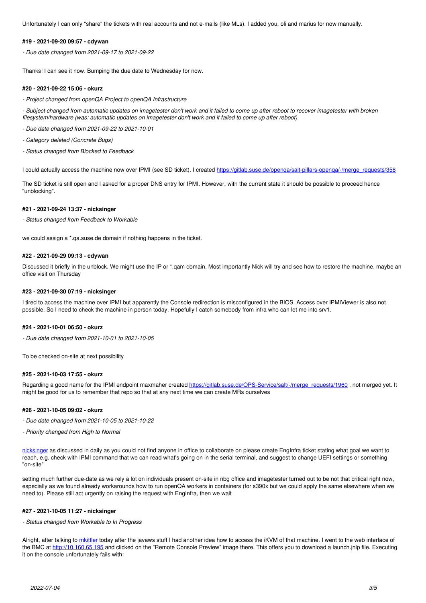Unfortunately I can only "share" the tickets with real accounts and not e-mails (like MLs). I added you, oli and marius for now manually.

## **#19 - 2021-09-20 09:57 - cdywan**

*- Due date changed from 2021-09-17 to 2021-09-22*

Thanks! I can see it now. Bumping the due date to Wednesday for now.

### **#20 - 2021-09-22 15:06 - okurz**

*- Project changed from openQA Project to openQA Infrastructure*

*- Subject changed from automatic updates on imagetester don't work and it failed to come up after reboot to recover imagetester with broken filesystem/hardware (was: automatic updates on imagetester don't work and it failed to come up after reboot)*

*- Due date changed from 2021-09-22 to 2021-10-01*

*- Category deleted (Concrete Bugs)*

*- Status changed from Blocked to Feedback*

I could actually access the machine now over IPMI (see SD ticket). I created https://gitlab.suse.de/openga/salt-pillars-openga/-/merge\_requests/358

The SD ticket is still open and I asked for a proper DNS entry for IPMI. However, with the current state it should be possible to proceed hence "unblocking".

## **#21 - 2021-09-24 13:37 - nicksinger**

*- Status changed from Feedback to Workable*

we could assign a \*.qa.suse.de domain if nothing happens in the ticket.

### **#22 - 2021-09-29 09:13 - cdywan**

Discussed it briefly in the unblock. We might use the IP or \*.qam domain. Most importantly Nick will try and see how to restore the machine, maybe an office visit on Thursday

#### **#23 - 2021-09-30 07:19 - nicksinger**

I tired to access the machine over IPMI but apparently the Console redirection is misconfigured in the BIOS. Access over IPMIViewer is also not possible. So I need to check the machine in person today. Hopefully I catch somebody from infra who can let me into srv1.

### **#24 - 2021-10-01 06:50 - okurz**

*- Due date changed from 2021-10-01 to 2021-10-05*

To be checked on-site at next possibility

## **#25 - 2021-10-03 17:55 - okurz**

Regarding a good name for the IPMI endpoint maxmaher created [https://gitlab.suse.de/OPS-Service/salt/-/merge\\_requests/1960](https://gitlab.suse.de/OPS-Service/salt/-/merge_requests/1960), not merged yet. It might be good for us to remember that repo so that at any next time we can create MRs ourselves

#### **#26 - 2021-10-05 09:02 - okurz**

- *Due date changed from 2021-10-05 to 2021-10-22*
- *Priority changed from High to Normal*

[nicksinger](progress.opensuse.org/users/24624) as discussed in daily as you could not find anyone in office to collaborate on please create EngInfra ticket stating what goal we want to reach, e.g. check with IPMI command that we can read what's going on in the serial terminal, and suggest to change UEFI settings or something "on-site"

setting much further due-date as we rely a lot on individuals present on-site in nbg office and imagetester turned out to be not that critical right now, especially as we found already workarounds how to run openQA workers in containers (for s390x but we could apply the same elsewhere when we need to). Please still act urgently on raising the request with EngInfra, then we wait

## **#27 - 2021-10-05 11:27 - nicksinger**

#### *- Status changed from Workable to In Progress*

Alright, after talking to [mkittler](progress.opensuse.org/users/22072) today after the javaws stuff I had another idea how to access the iKVM of that machine. I went to the web interface of the BMC at<http://10.160.65.195>and clicked on the "Remote Console Preview" image there. This offers you to download a launch.jnlp file. Executing it on the console unfortunately fails with: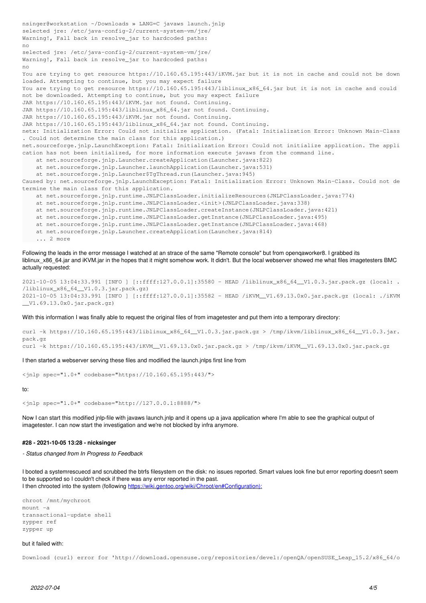```
nsinger@workstation ~/Downloads » LANG=C javaws launch.jnlp
selected jre: /etc/java-config-2/current-system-vm/jre/
Warning!, Fall back in resolve_jar to hardcoded paths:
no
selected jre: /etc/java-config-2/current-system-vm/jre/
Warning!, Fall back in resolve_jar to hardcoded paths:
no
You are trying to get resource https://10.160.65.195:443/iKVM.jar but it is not in cache and could not be down
loaded. Attempting to continue, but you may expect failure
You are trying to get resource https://10.160.65.195:443/liblinux_x86_64.jar but it is not in cache and could
not be downloaded. Attempting to continue, but you may expect failure
JAR https://10.160.65.195:443/iKVM.jar not found. Continuing.
JAR https://10.160.65.195:443/liblinux_x86_64.jar not found. Continuing.
JAR https://10.160.65.195:443/iKVM.jar not found. Continuing.
JAR https://10.160.65.195:443/liblinux_x86_64.jar not found. Continuing.
netx: Initialization Error: Could not initialize application. (Fatal: Initialization Error: Unknown Main-Class
. Could not determine the main class for this application.)
net.sourceforge.jnlp.LaunchException: Fatal: Initialization Error: Could not initialize application. The appli
cation has not been initialized, for more information execute javaws from the command line.
        at net.sourceforge.jnlp.Launcher.createApplication(Launcher.java:822)
    at net.sourceforge.jnlp.Launcher.launchApplication(Launcher.java:531)
        at net.sourceforge.jnlp.Launcher$TgThread.run(Launcher.java:945)
Caused by: net.sourceforge.jnlp.LaunchException: Fatal: Initialization Error: Unknown Main-Class. Could not de
termine the main class for this application.
        at net.sourceforge.jnlp.runtime.JNLPClassLoader.initializeResources(JNLPClassLoader.java:774)
        at net.sourceforge.jnlp.runtime.JNLPClassLoader.<init>(JNLPClassLoader.java:338)
        at net.sourceforge.jnlp.runtime.JNLPClassLoader.createInstance(JNLPClassLoader.java:421)
        at net.sourceforge.jnlp.runtime.JNLPClassLoader.getInstance(JNLPClassLoader.java:495)
        at net.sourceforge.jnlp.runtime.JNLPClassLoader.getInstance(JNLPClassLoader.java:468)
        at net.sourceforge.jnlp.Launcher.createApplication(Launcher.java:814)
       ... 2 more
```
Following the leads in the error message I watched at an strace of the same "Remote console" but from openqaworker8. I grabbed its liblinux x86 64.jar and iKVM.jar in the hopes that it might somehow work. It didn't. But the local webserver showed me what files imagetesters BMC actually requested:

```
2021-10-05 13:04:33.991 [INFO ] [::ffff:127.0.0.1]:35580 - HEAD /liblinux_x86_64__V1.0.3.jar.pack.gz (local: .
/liblinux_x86_64__V1.0.3.jar.pack.gz)
2021-10-05 13:04:33.991 [INFO ] [::ffff:127.0.0.1]:35582 - HEAD /iKVM__V1.69.13.0x0.jar.pack.gz (local: ./iKVM
__V1.69.13.0x0.jar.pack.gz)
```
With this information I was finally able to request the original files of from imagetester and put them into a temporary directory:

curl -k https://10.160.65.195:443/liblinux\_x86\_64\_\_V1.0.3.jar.pack.gz > /tmp/ikvm/liblinux\_x86\_64\_\_V1.0.3.jar. pack.gz curl -k https://10.160.65.195:443/iKVM\_\_V1.69.13.0x0.jar.pack.gz > /tmp/ikvm/iKVM\_\_V1.69.13.0x0.jar.pack.gz

I then started a webserver serving these files and modified the launch.jnlps first line from

<jnlp spec="1.0+" codebase="https://10.160.65.195:443/">

to:

<jnlp spec="1.0+" codebase="http://127.0.0.1:8888/">

Now I can start this modified jnlp-file with javaws launch.jnlp and it opens up a java application where I'm able to see the graphical output of imagetester. I can now start the investigation and we're not blocked by infra anymore.

#### **#28 - 2021-10-05 13:28 - nicksinger**

*- Status changed from In Progress to Feedback*

I booted a systemrescuecd and scrubbed the btrfs filesystem on the disk: no issues reported. Smart values look fine but error reporting doesn't seem to be supported so I couldn't check if there was any error reported in the past. I then chrooted into the system (following [https://wiki.gentoo.org/wiki/Chroot/en#Configuration\):](https://wiki.gentoo.org/wiki/Chroot/en#Configuration):)

chroot /mnt/mychroot mount -a transactional-update shell zypper ref zypper up

## but it failed with:

Download (curl) error for 'http://download.opensuse.org/repositories/devel:/openQA/openSUSE\_Leap\_15.2/x86\_64/o